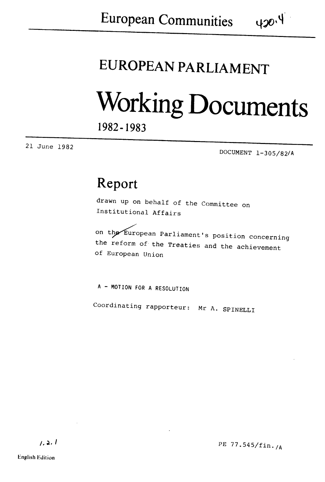420.4

## EUROPEAN PARLIAMENT

Working Documents

1982-1983

21 June 1982

DOCUMENT 1-305/82/A

## Report

drawn up on behalf of the Committee on Institutional Affairs

on the European Parliament's position concerning the reform of the Treaties and the achievement of European Union

A - MOTION FOR A RESOLUTION

Coordinating rapporteur: Mr A. SPINELLI

 $1.2.1$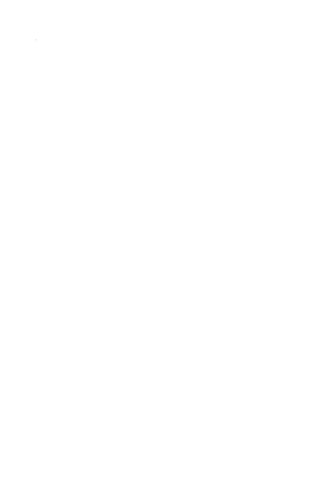$\label{eq:2.1} \frac{1}{\sqrt{2}}\sum_{i=1}^n\frac{1}{\sqrt{2\pi}}\sum_{i=1}^n\frac{1}{\sqrt{2\pi}}\sum_{i=1}^n\frac{1}{\sqrt{2\pi}}\sum_{i=1}^n\frac{1}{\sqrt{2\pi}}\sum_{i=1}^n\frac{1}{\sqrt{2\pi}}\sum_{i=1}^n\frac{1}{\sqrt{2\pi}}\sum_{i=1}^n\frac{1}{\sqrt{2\pi}}\sum_{i=1}^n\frac{1}{\sqrt{2\pi}}\sum_{i=1}^n\frac{1}{\sqrt{2\pi}}\sum_{i=1}^n\frac{$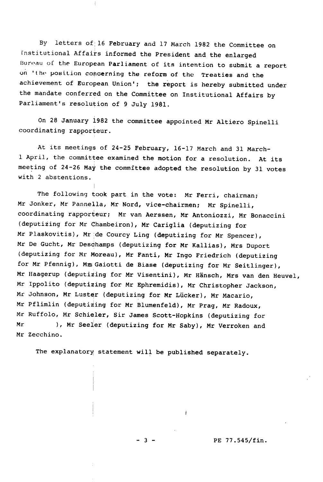By letters of 16 February and 17 March 1982 the Committee on Institutional Affairs informed the President and the enlarged Bureau of the European Parliament of its intention to submit a report on 'the position concerning the reform of the Treaties and the achievement of European Union'; the report is hereby submitted under the mandate conferred on the Committee on Institutional Affairs by Parliament's resolution of 9 July I9BI.

On 28 January 1982 the committee appointed Mr Altiero Spinelli coordinating rapporteur.

At its meetings of 24-zs February, L6-L7 March and 31 March-1 April, the committee examined the motion for a resolution. At its meeting of  $24-26$  May the committee adopted the resolution by 31 votes with 2 abstentions.

The following took part in the vote: Mr Ferri, chairman; Mr Jonker, Mr Pannella, Mr Nord, vice-chairmen; Mr Spinelli, coordinating rapporteur; Mr van Aerssen, Mr Antoniozzi, Mr Bonaccini (deputizing for Mr Chambeiron), Mr Cariglia (deputizing for Mr Plaskovitis), Mr de Courcy Ling (deputizing for Mr Spencer), Mr De Gucht, Mr Deschamps (deputizing for Mr Kallias), Mrs Duport (deputizing for Mr Moreau), Mr Fanti, Mr Ingo Friedrich (deputizing for Mr Pfennig), Mrs Gaiotti de Biase (deputizing for Mr Seitlinger), Mr Haagerup (deputizing for Mr Visentini), Mr Hänsch, Mrs van den Heuvel, Mr Ippolito (deputizing for Mr Ephremidis), Mr Christopher Jackson, Mr Johnson, Mr Luster (deputizing for Mr Lücker), Mr Macario, Mr Pflimlin (deputizing for Mr Blumenfeld), Mr Prag, Mr Radoux, Mr Ruffolo, Mr Schieler, Sir James Scott-Hopkins (deputizing for Mr (Ar Seeler (deputizing for Mr Saby), Mr Verroken and Mr Zecchino.

The explanatory statement will be published separately.

3 - PE 77.545/fin.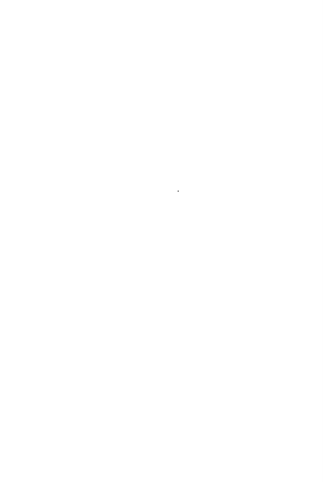$\label{eq:2.1} \frac{1}{2} \int_{\mathbb{R}^3} \frac{1}{\sqrt{2}} \, \mathrm{d} x \, \mathrm{d} x \, \mathrm{d} x \, \mathrm{d} x \, \mathrm{d} x \, \mathrm{d} x \, \mathrm{d} x \, \mathrm{d} x \, \mathrm{d} x \, \mathrm{d} x \, \mathrm{d} x \, \mathrm{d} x \, \mathrm{d} x \, \mathrm{d} x \, \mathrm{d} x \, \mathrm{d} x \, \mathrm{d} x \, \mathrm{d} x \, \mathrm{d} x \, \mathrm{d} x \, \mathrm{d} x \, \mathrm{d} x \, \mathrm{d$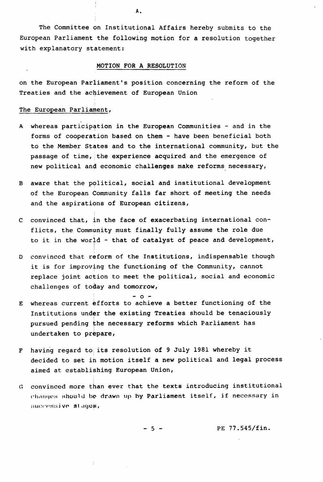The Committee on Institutional Affairs hereby submits to the European Parliament the following motion for a resolution together with explanatory statement:

## MOTION FOR A RESOLUTION

on the European Parliament's position concerning the reform of the Treaties and the achievement of European Union

## The European Parliament,

- A whereas participation in the European Communities and in the forms of cooperation based on them - have been beneficial both to the Member States and to the international community, but the passage of time, the experience acquired and the emergence of new political and economic challenges make reforms necessary,
- B aware that the pglitical, social and institutional development of the European Community falls far short of meeting the needs and the aspirations of European citizens,
- convinced that, ln the face of exacerbating international conflicts, the Community must finally fully assume the role due to it in the world - that of catalyst of peace and development,
- convinced that reform of the Institutions, indispensable though it is for improving the functioning of the Community, cannot replace joint action to meet the political, social and economic challenges of today and tomorrow,
- E whereas current efforts to achieve a better functioning of the fnstitutions under the existing Treaties should be tenaciously pursued pending fhe necessary reforms which Parliament has undertaken to prepare,

-o-

- having regard to its resolution of 9 July 1981 whereby it  $\mathbf{F}$ decided to set in motion itself a new political and legal process aimed at establishing European Union,
- (; convinced more than ever that the texts introducing institutional changes should be drawn up by Parliament itself, if necessary in successive stages,

$$
-5-
$$

PE 77.545/fin.

A.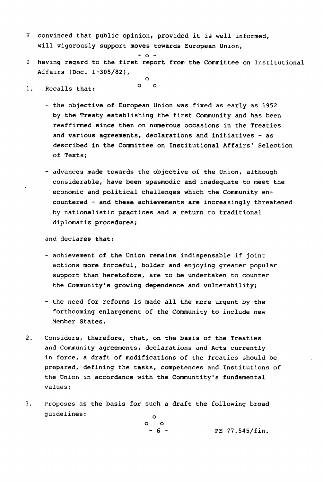H convinced that public opinion, provided it is well informed, wiII vigorously support moves towards European Union,

o

- o -<br>I having regard to the first report from the Committee on Institutional Affairs (Doc. 1-305/82),
- 1. Recalls that: 0 0
	- the objective of European Union was fixed as early as L952 by the Treaty establishing the first Community and has been reaffirmed since then on numerous occasions in the Treaties and various agreements, declarations and initiatives - as described in the Committee on Institutional Affairs' Selection of Texts;
	- advances made towards the objective of the Union, although considerable, have been spasmodic and inadequate to meet the economic and political challenges which the Community encountered - and these achievements are increasingly threatened by nationalistic practices and a return to traditional diplomatic procedures;

and declares that:

- achievement of the Union remains indispensable if joint actions more forceful, bolder and enjoying greater popular support than heretofore, are to be undertaken to counter the Community's growing dependence and vulnerability;
- the need for reforms is made all the more urgent by the forthcoming enlargement of the Community to include new Member States.
- 2. Considers, therefore, that, on the basis of the Treaties and Community agreements, declarations and Acts currently in force, a draft of modifications of the Treaties should be prepared, defining the tasks, competences and Institutions of the Union in accordance with the Communtity's fundamental values;
- 3. Proposes as the basis for such a draft the foflowing broad quidelines:

oo 6 - PE 77.545/fin.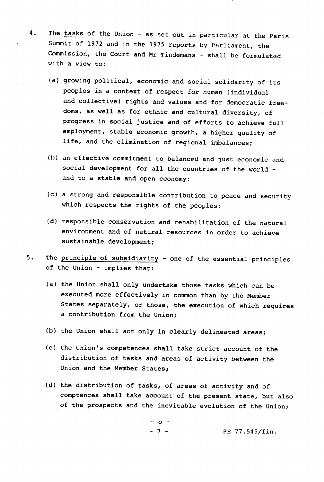- 4. The tasks of the Union as set out in particular at the Paris Summit of 1972 and in the 1975 reports by Parliament, the Commission, the Court and Mr Tindemans - shall be formulated with a view to:
	- (a) growing political, economic and social solidarity of its peoples in a context of respect for human ( individual and collective) rights and values and for democratic freedoms, as well as for ethnic and cultural diversity, of progress in social justice and of efforts to achieve full employment, stable economic growth, a higher quality of life, and the elimination of regional imbalances;
	- $(b)$  an effective commitment to balanced and just economic and social development for all the countries of the world and to a stable and open economy;
	- (c) a strong and responsible contribution to peace and security which respects the rights of the peoples;
	- (d) responsible conservation and rehabilitation of the natural environment and of natural resources in order to achieve sustainable development;
- The principle of subsidiarity one of the essential principles of the Union - implies that: 5.
	- (a) the Union shall only undertake those tasks which can be executed more effectively in common than by the Member States separately, or those, the execution of which requires a contribution from the Union;
	- (b) the Union shall act only in clearly delineated areas;
	- (c) the Union's competences shall take strict account of the distribution of tasks and areas of activity between the Union and the Member States,
	- (d) the distribution of tasks, of areas of activity and of comptences shall take account of the present state, but also of the prospects and the inevitable evolution of the Union;

$$
-0 -
$$
  
- 7 -  
PE 77.545/fin.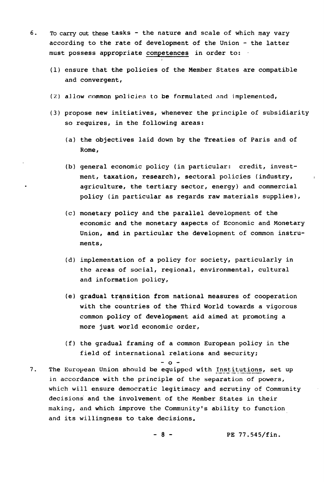- $6.$  To carry out these tasks the nature and scale of which may vary according to the rate of development of the Union - the latter must possess appropriate competences in order to:
	- (1) ensure that the policies of the Member States are compatible and convergent,
	- $(2)$  allow common policies to be formulated and implemented,
	- (3) propose new initiatives, whenever the principle of subsidiarity so reguires, in the following areas:
		- (a) the objectives laid down by the Treaties of Paris and of Rome,
		- (b) general economic policy (in particular: credit, investment, taxation, research), sectoral policies (industry, integration, agriculture, the tertiary sector, energy) and commercial policy (in particular as regards raw materials supplies),
		- (c) monetary policy and the parallel development of the economic and the monetary aspects of Economic and Monetary Union, and in particular the development of common instruments,
		- (d) implementation of a policy for society, particularly in thc areas of social, regional, environmental, cultural and information policy,
		- (e) gradual transition from national measures of cooperation with the countries of the Third World towards a vigorous common policy of development aid aimed at pronoting <sup>a</sup> more just world economic order,
		- (f) the gradual framing of a conmon European policy in the field of international relations and security;

 $-$  o  $-$ 

7. The European Union should be equipped with Institutions, set up in accordance with the principle of the separation of powers, which will ensure democratic legitimacy and scrutiny of Community decisions and the involvement of Ehe Member States in their making, and which improve the Community's ability to function and its willingness to take decisions.

 $- 8 -$  PE 77.545/fin.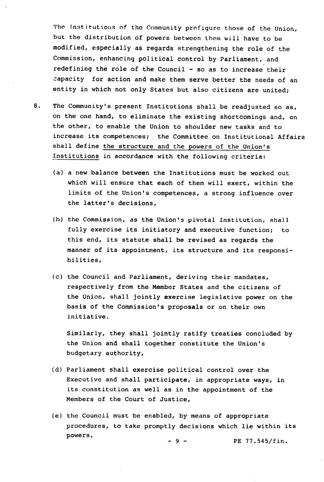The Institutions of the Community prefigure those of the Union, but the distribution of powers between them will have to be modified, especially as regards strengthening the role of the Commission, enhancing political control by Parliament, and redefining the role of the Council - so as to increase their capacity for action and make them serve better the needs of an entity in which not only States but also citizens are united;

- 8. The Community's present Institutions shall be readjusted so as, on the one hand, to eliminate the existing shortcomings and, on the other, to enable the Union to shoulder new tasks and to increase its competences; the Committee on Institutional Affairs shall define the structure and the powers of the Union's Institutions in accordance with the following criteria:
	- (a) a new balance between the Institutions must be worked out which will ensure that each of them will exert, within the limits of the Union's competences, a strong influence over the latter's decisions,
	- (b) the Commission, as the Union's pivotal Institution, shall fully exercise its initiatory and executive function; to this end, its statute shall be revised as regards the manner of its appointment, its structure and its responsibilities,
	- (c) the Council and Parliament, deriving their mandates, respectively from the Member States and the citizens of the Union, shall jointly exercise legislative power on the basis of the Commission's proposals or on their own initiative.

Similarly, they shall jointly ratify treaties concluded by the Union and shall together constitute the Union's budgetary authority,

- (d) Parliament shall exercise political control over the Executive and shall participate, in appropriate ways, in its constitution as well as in the appointment of the Members of the Court of Justice,
- (e) the Council must be enabled, by means of appropriate procedures, to take promptly decisions which lie within its powers,

 $-9 -$ 

PE 77.545/fin.